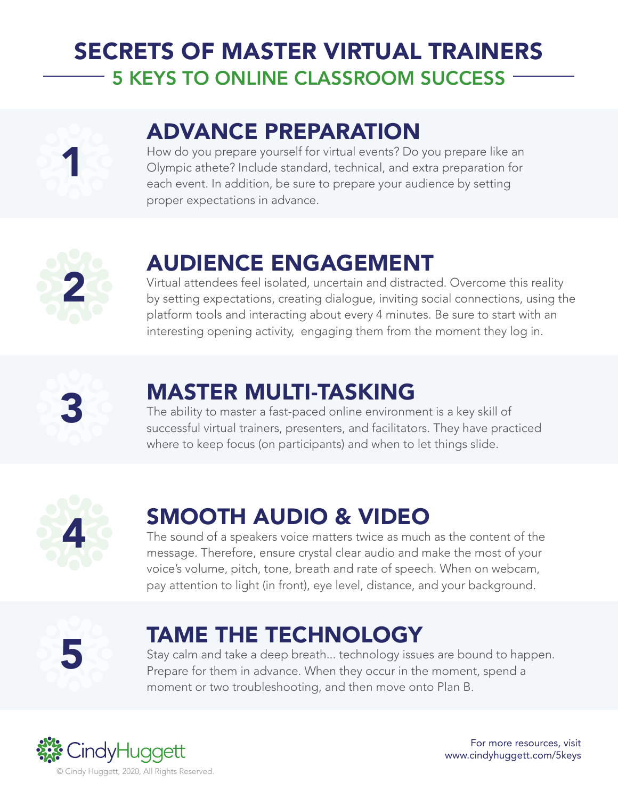## SECRETS OF MASTER VIRTUAL TRAINERS 5 KEYS TO ONLINE CLASSROOM SUCCESS



# ADVANCE PREPARATION

How do you prepare yourself for virtual events? Do you prepare like an Olympic athete? Include standard, technical, and extra preparation for each event. In addition, be sure to prepare your audience by setting proper expectations in advance.



### AUDIENCE ENGAGEMENT

Virtual attendees feel isolated, uncertain and distracted. Overcome this reality by setting expectations, creating dialogue, inviting social connections, using the platform tools and interacting about every 4 minutes. Be sure to start with an interesting opening activity, engaging them from the moment they log in.



### MASTER MULTI-TASKING

The ability to master a fast-paced online environment is a key skill of successful virtual trainers, presenters, and facilitators. They have practiced where to keep focus (on participants) and when to let things slide.



# SMOOTH AUDIO & VIDEO

The sound of a speakers voice matters twice as much as the content of the message. Therefore, ensure crystal clear audio and make the most of your voice's volume, pitch, tone, breath and rate of speech. When on webcam, pay attention to light (in front), eye level, distance, and your background.



### TAME THE TECHNOLOGY

Stay calm and take a deep breath... technology issues are bound to happen. Prepare for them in advance. When they occur in the moment, spend a moment or two troubleshooting, and then move onto Plan B.



For more resources, visit www.cindyhuggett.com/5keys